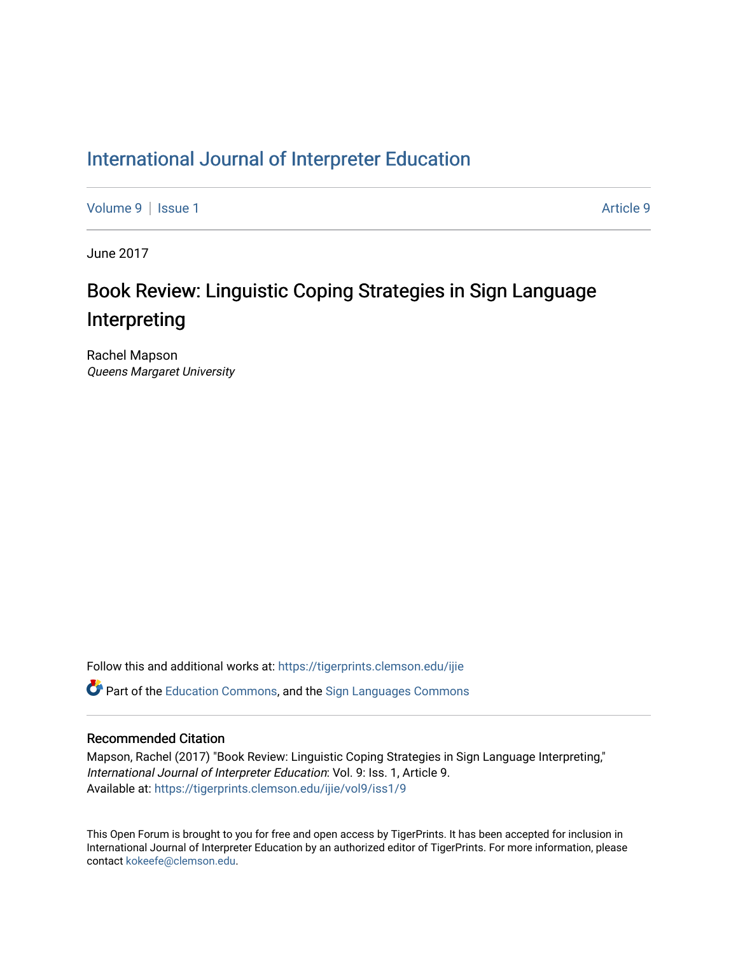### [International Journal of Interpreter Education](https://tigerprints.clemson.edu/ijie)

[Volume 9](https://tigerprints.clemson.edu/ijie/vol9) | [Issue 1](https://tigerprints.clemson.edu/ijie/vol9/iss1) [Article 9](https://tigerprints.clemson.edu/ijie/vol9/iss1/9) | Article 9 | Article 9 | Article 9 | Article 9 | Article 9 | Article 9 | Article 9

June 2017

## Book Review: Linguistic Coping Strategies in Sign Language Interpreting

Rachel Mapson Queens Margaret University

Follow this and additional works at: [https://tigerprints.clemson.edu/ijie](https://tigerprints.clemson.edu/ijie?utm_source=tigerprints.clemson.edu%2Fijie%2Fvol9%2Fiss1%2F9&utm_medium=PDF&utm_campaign=PDFCoverPages) 

 $\bullet$  Part of the [Education Commons](https://network.bepress.com/hgg/discipline/784?utm_source=tigerprints.clemson.edu%2Fijie%2Fvol9%2Fiss1%2F9&utm_medium=PDF&utm_campaign=PDFCoverPages), and the Sign Languages Commons

#### Recommended Citation

Mapson, Rachel (2017) "Book Review: Linguistic Coping Strategies in Sign Language Interpreting," International Journal of Interpreter Education: Vol. 9: Iss. 1, Article 9. Available at: [https://tigerprints.clemson.edu/ijie/vol9/iss1/9](https://tigerprints.clemson.edu/ijie/vol9/iss1/9?utm_source=tigerprints.clemson.edu%2Fijie%2Fvol9%2Fiss1%2F9&utm_medium=PDF&utm_campaign=PDFCoverPages)

This Open Forum is brought to you for free and open access by TigerPrints. It has been accepted for inclusion in International Journal of Interpreter Education by an authorized editor of TigerPrints. For more information, please contact [kokeefe@clemson.edu.](mailto:kokeefe@clemson.edu)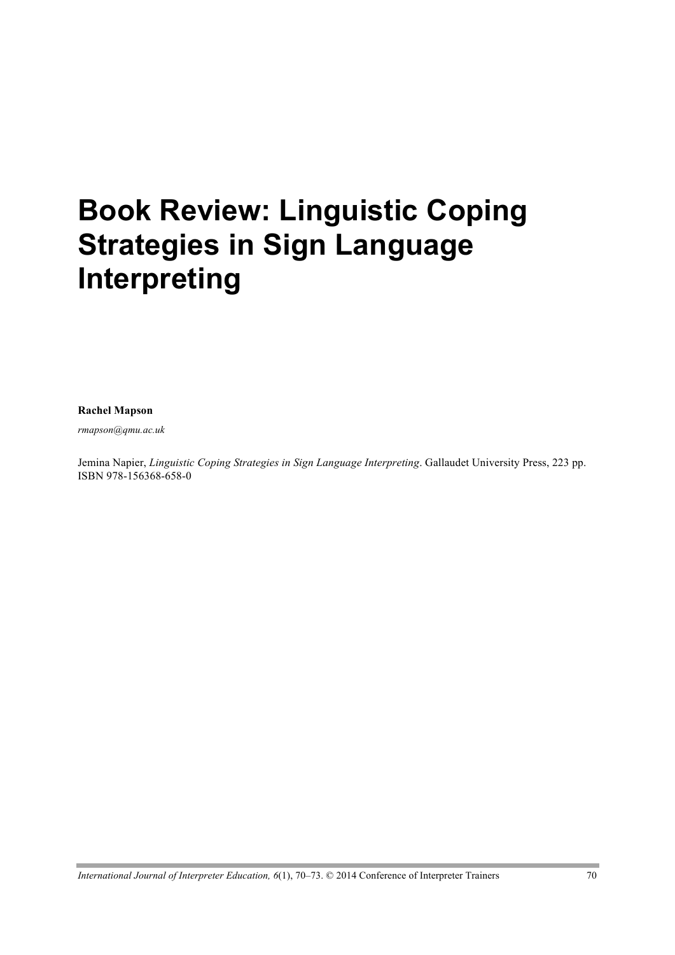# **Book Review: Linguistic Coping Strategies in Sign Language Interpreting**

**Rachel Mapson**

*rmapson@qmu.ac.uk*

Jemina Napier, *Linguistic Coping Strategies in Sign Language Interpreting*. Gallaudet University Press, 223 pp. ISBN 978-156368-658-0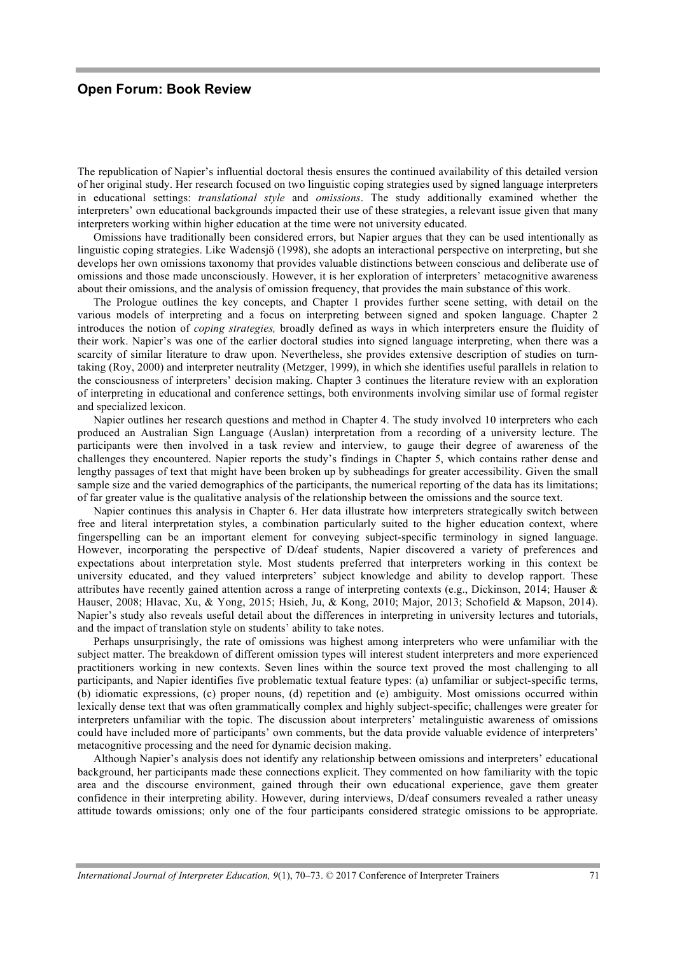#### **Open Forum: Book Review**

The republication of Napier's influential doctoral thesis ensures the continued availability of this detailed version of her original study. Her research focused on two linguistic coping strategies used by signed language interpreters in educational settings: *translational style* and *omissions*. The study additionally examined whether the interpreters' own educational backgrounds impacted their use of these strategies, a relevant issue given that many interpreters working within higher education at the time were not university educated.

Omissions have traditionally been considered errors, but Napier argues that they can be used intentionally as linguistic coping strategies. Like Wadensjö (1998), she adopts an interactional perspective on interpreting, but she develops her own omissions taxonomy that provides valuable distinctions between conscious and deliberate use of omissions and those made unconsciously. However, it is her exploration of interpreters' metacognitive awareness about their omissions, and the analysis of omission frequency, that provides the main substance of this work.

The Prologue outlines the key concepts, and Chapter 1 provides further scene setting, with detail on the various models of interpreting and a focus on interpreting between signed and spoken language. Chapter 2 introduces the notion of *coping strategies,* broadly defined as ways in which interpreters ensure the fluidity of their work. Napier's was one of the earlier doctoral studies into signed language interpreting, when there was a scarcity of similar literature to draw upon. Nevertheless, she provides extensive description of studies on turntaking (Roy, 2000) and interpreter neutrality (Metzger, 1999), in which she identifies useful parallels in relation to the consciousness of interpreters' decision making. Chapter 3 continues the literature review with an exploration of interpreting in educational and conference settings, both environments involving similar use of formal register and specialized lexicon.

Napier outlines her research questions and method in Chapter 4. The study involved 10 interpreters who each produced an Australian Sign Language (Auslan) interpretation from a recording of a university lecture. The participants were then involved in a task review and interview, to gauge their degree of awareness of the challenges they encountered. Napier reports the study's findings in Chapter 5, which contains rather dense and lengthy passages of text that might have been broken up by subheadings for greater accessibility. Given the small sample size and the varied demographics of the participants, the numerical reporting of the data has its limitations; of far greater value is the qualitative analysis of the relationship between the omissions and the source text.

Napier continues this analysis in Chapter 6. Her data illustrate how interpreters strategically switch between free and literal interpretation styles, a combination particularly suited to the higher education context, where fingerspelling can be an important element for conveying subject-specific terminology in signed language. However, incorporating the perspective of D/deaf students, Napier discovered a variety of preferences and expectations about interpretation style. Most students preferred that interpreters working in this context be university educated, and they valued interpreters' subject knowledge and ability to develop rapport. These attributes have recently gained attention across a range of interpreting contexts (e.g., Dickinson, 2014; Hauser & Hauser, 2008; Hlavac, Xu, & Yong, 2015; Hsieh, Ju, & Kong, 2010; Major, 2013; Schofield & Mapson, 2014). Napier's study also reveals useful detail about the differences in interpreting in university lectures and tutorials, and the impact of translation style on students' ability to take notes.

Perhaps unsurprisingly, the rate of omissions was highest among interpreters who were unfamiliar with the subject matter. The breakdown of different omission types will interest student interpreters and more experienced practitioners working in new contexts. Seven lines within the source text proved the most challenging to all participants, and Napier identifies five problematic textual feature types: (a) unfamiliar or subject-specific terms, (b) idiomatic expressions, (c) proper nouns, (d) repetition and (e) ambiguity. Most omissions occurred within lexically dense text that was often grammatically complex and highly subject-specific; challenges were greater for interpreters unfamiliar with the topic. The discussion about interpreters' metalinguistic awareness of omissions could have included more of participants' own comments, but the data provide valuable evidence of interpreters' metacognitive processing and the need for dynamic decision making.

Although Napier's analysis does not identify any relationship between omissions and interpreters' educational background, her participants made these connections explicit. They commented on how familiarity with the topic area and the discourse environment, gained through their own educational experience, gave them greater confidence in their interpreting ability. However, during interviews, D/deaf consumers revealed a rather uneasy attitude towards omissions; only one of the four participants considered strategic omissions to be appropriate.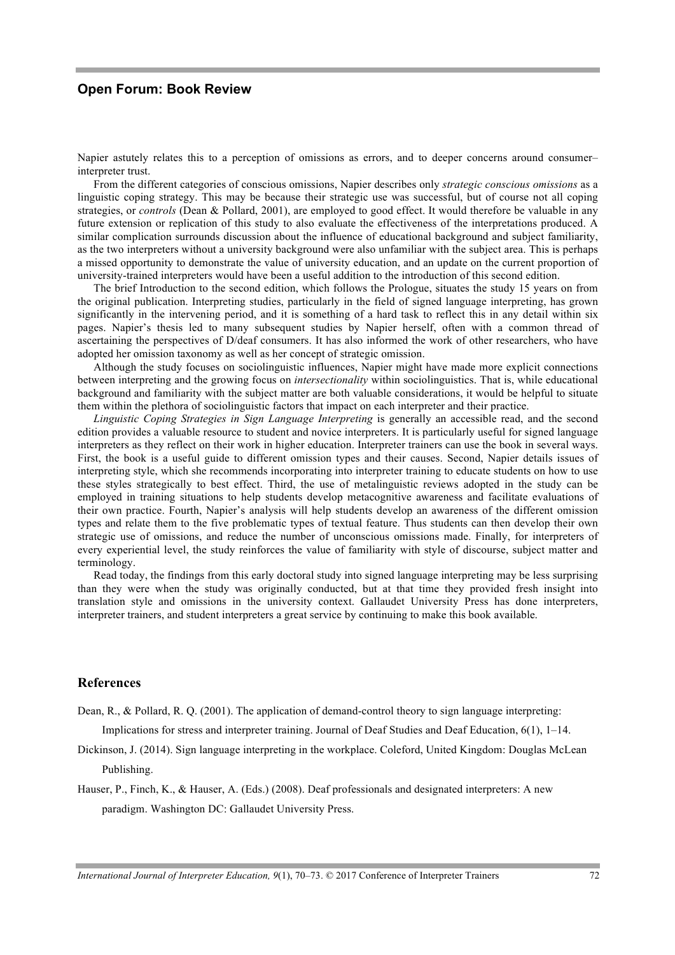#### **Open Forum: Book Review**

Napier astutely relates this to a perception of omissions as errors, and to deeper concerns around consumer– interpreter trust.

From the different categories of conscious omissions, Napier describes only *strategic conscious omissions* as a linguistic coping strategy. This may be because their strategic use was successful, but of course not all coping strategies, or *controls* (Dean & Pollard, 2001), are employed to good effect. It would therefore be valuable in any future extension or replication of this study to also evaluate the effectiveness of the interpretations produced. A similar complication surrounds discussion about the influence of educational background and subject familiarity, as the two interpreters without a university background were also unfamiliar with the subject area. This is perhaps a missed opportunity to demonstrate the value of university education, and an update on the current proportion of university-trained interpreters would have been a useful addition to the introduction of this second edition.

The brief Introduction to the second edition, which follows the Prologue, situates the study 15 years on from the original publication. Interpreting studies, particularly in the field of signed language interpreting, has grown significantly in the intervening period, and it is something of a hard task to reflect this in any detail within six pages. Napier's thesis led to many subsequent studies by Napier herself, often with a common thread of ascertaining the perspectives of D/deaf consumers. It has also informed the work of other researchers, who have adopted her omission taxonomy as well as her concept of strategic omission.

Although the study focuses on sociolinguistic influences, Napier might have made more explicit connections between interpreting and the growing focus on *intersectionality* within sociolinguistics. That is, while educational background and familiarity with the subject matter are both valuable considerations, it would be helpful to situate them within the plethora of sociolinguistic factors that impact on each interpreter and their practice.

*Linguistic Coping Strategies in Sign Language Interpreting* is generally an accessible read, and the second edition provides a valuable resource to student and novice interpreters. It is particularly useful for signed language interpreters as they reflect on their work in higher education. Interpreter trainers can use the book in several ways. First, the book is a useful guide to different omission types and their causes. Second, Napier details issues of interpreting style, which she recommends incorporating into interpreter training to educate students on how to use these styles strategically to best effect. Third, the use of metalinguistic reviews adopted in the study can be employed in training situations to help students develop metacognitive awareness and facilitate evaluations of their own practice. Fourth, Napier's analysis will help students develop an awareness of the different omission types and relate them to the five problematic types of textual feature. Thus students can then develop their own strategic use of omissions, and reduce the number of unconscious omissions made. Finally, for interpreters of every experiential level, the study reinforces the value of familiarity with style of discourse, subject matter and terminology.

Read today, the findings from this early doctoral study into signed language interpreting may be less surprising than they were when the study was originally conducted, but at that time they provided fresh insight into translation style and omissions in the university context. Gallaudet University Press has done interpreters, interpreter trainers, and student interpreters a great service by continuing to make this book available.

#### **References**

Dean, R., & Pollard, R. Q. (2001). The application of demand-control theory to sign language interpreting:

Implications for stress and interpreter training. Journal of Deaf Studies and Deaf Education, 6(1), 1–14.

- Dickinson, J. (2014). Sign language interpreting in the workplace. Coleford, United Kingdom: Douglas McLean Publishing.
- Hauser, P., Finch, K., & Hauser, A. (Eds.) (2008). Deaf professionals and designated interpreters: A new paradigm. Washington DC: Gallaudet University Press.